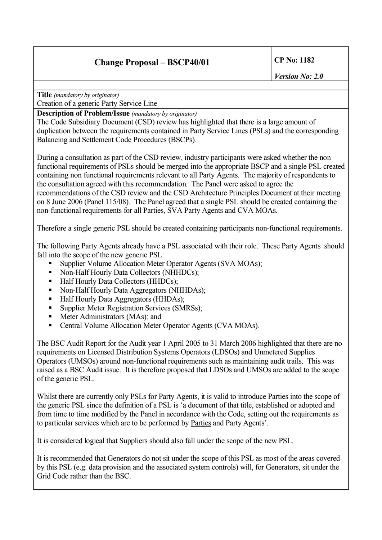**Title** *(mandatory by originator)*

Creation of a generic Party Service Line

**Description of Problem/Issue** *(mandatory by originator)*

The Code Subsidiary Document (CSD) review has highlighted that there is a large amount of duplication between the requirements contained in Party Service Lines (PSLs) and the corresponding Balancing and Settlement Code Procedures (BSCPs).

During a consultation as part of the CSD review, industry participants were asked whether the non functional requirements of PSLs should be merged into the appropriate BSCP and a single PSL created containing non functional requirements relevant to all Party Agents. The majority of respondents to the consultation agreed with this recommendation. The Panel were asked to agree the recommendations of the CSD review and the CSD Architecture Principles Document at their meeting on 8 June 2006 (Panel 115/08). The Panel agreed that a single PSL should be created containing the non-functional requirements for all Parties, SVA Party Agents and CVA MOAs.

Therefore a single generic PSL should be created containing participants non-functional requirements.

The following Party Agents already have a PSL associated with their role. These Party Agents should fall into the scope of the new generic PSL:

- Supplier Volume Allocation Meter Operator Agents (SVA MOAs);
- § Non-Half Hourly Data Collectors (NHHDCs);
- § Half Hourly Data Collectors (HHDCs);
- § Non-Half Hourly Data Aggregators (NHHDAs);
- Half Hourly Data Aggregators (HHDAs);
- Supplier Meter Registration Services (SMRSs):
- Meter Administrators (MAs); and
- Central Volume Allocation Meter Operator Agents (CVA MOAs).

The BSC Audit Report for the Audit year 1 April 2005 to 31 March 2006 highlighted that there are no requirements on Licensed Distribution Systems Operators (LDSOs) and Unmetered Supplies Operators (UMSOs) around non-functional requirements such as maintaining audit trails. This was raised as a BSC Audit issue. It is therefore proposed that LDSOs and UMSOs are added to the scope of the generic PSL.

Whilst there are currently only PSLs for Party Agents, it is valid to introduce Parties into the scope of the generic PSL since the definition of a PSL is 'a document of that title, established or adopted and from time to time modified by the Panel in accordance with the Code, setting out the requirements as to particular services which are to be performed by Parties and Party Agents'.

It is considered logical that Suppliers should also fall under the scope of the new PSL.

It is recommended that Generators do not sit under the scope of this PSL as most of the areas covered by this PSL (e.g. data provision and the associated system controls) will, for Generators, sit under the Grid Code rather than the BSC.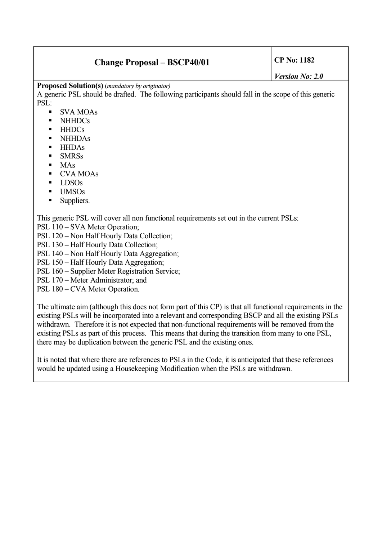**Proposed Solution(s)** (*mandatory by originator)*

A generic PSL should be drafted. The following participants should fall in the scope of this generic PSL:

- § SVA MOAs
- § NHHDCs
- § HHDCs
- § NHHDAs
- § HHDAs
- § SMRSs
- $-MAs$
- § CVA MOAs
- § LDSOs
- § UMSOs
- § Suppliers.

This generic PSL will cover all non functional requirements set out in the current PSLs:

- PSL 110 SVA Meter Operation;
- PSL 120 Non Half Hourly Data Collection;
- PSL 130 Half Hourly Data Collection;
- PSL 140 Non Half Hourly Data Aggregation;
- PSL 150 Half Hourly Data Aggregation;
- PSL 160 Supplier Meter Registration Service;
- PSL 170 Meter Administrator; and
- PSL 180 CVA Meter Operation.

The ultimate aim (although this does not form part of this CP) is that all functional requirements in the existing PSLs will be incorporated into a relevant and corresponding BSCP and all the existing PSLs withdrawn. Therefore it is not expected that non-functional requirements will be removed from the existing PSLs as part of this process. This means that during the transition from many to one PSL, there may be duplication between the generic PSL and the existing ones.

It is noted that where there are references to PSLs in the Code, it is anticipated that these references would be updated using a Housekeeping Modification when the PSLs are withdrawn.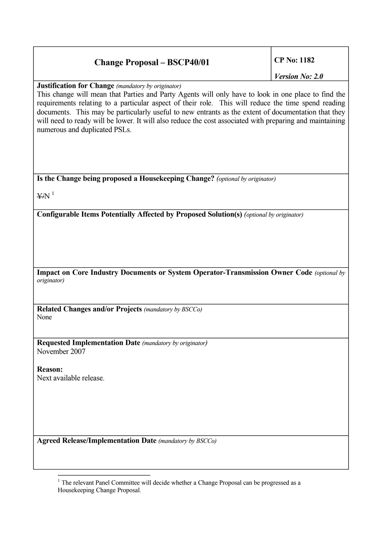*Version No: 2.0*

**Justification for Change** *(mandatory by originator)*

This change will mean that Parties and Party Agents will only have to look in one place to find the requirements relating to a particular aspect of their role. This will reduce the time spend reading documents. This may be particularly useful to new entrants as the extent of documentation that they will need to ready will be lower. It will also reduce the cost associated with preparing and maintaining numerous and duplicated PSLs.

**Is the Change being proposed a Housekeeping Change?** *(optional by originator)*

 $YN<sup>1</sup>$  $YN<sup>1</sup>$  $YN<sup>1</sup>$ 

**Configurable Items Potentially Affected by Proposed Solution(s)** *(optional by originator)*

**Impact on Core Industry Documents or System Operator-Transmission Owner Code** *(optional by originator)*

**Related Changes and/or Projects** *(mandatory by BSCCo)* None

**Requested Implementation Date** *(mandatory by originator)* November 2007

**Reason:** Next available release.

<span id="page-2-0"></span>**Agreed Release/Implementation Date** *(mandatory by BSCCo)*

 $<sup>1</sup>$  The relevant Panel Committee will decide whether a Change Proposal can be progressed as a</sup> Housekeeping Change Proposal.